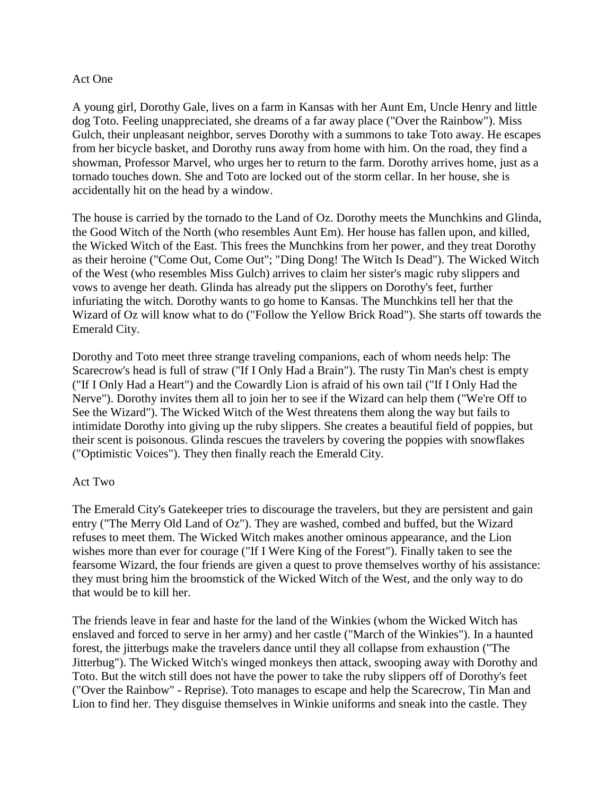## Act One

A young girl, Dorothy Gale, lives on a farm in Kansas with her Aunt Em, Uncle Henry and little dog Toto. Feeling unappreciated, she dreams of a far away place ("Over the Rainbow"). Miss Gulch, their unpleasant neighbor, serves Dorothy with a summons to take Toto away. He escapes from her bicycle basket, and Dorothy runs away from home with him. On the road, they find a showman, Professor Marvel, who urges her to return to the farm. Dorothy arrives home, just as a tornado touches down. She and Toto are locked out of the storm cellar. In her house, she is accidentally hit on the head by a window.

The house is carried by the tornado to the Land of Oz. Dorothy meets the Munchkins and Glinda, the Good Witch of the North (who resembles Aunt Em). Her house has fallen upon, and killed, the Wicked Witch of the East. This frees the Munchkins from her power, and they treat Dorothy as their heroine ("Come Out, Come Out"; "Ding Dong! The Witch Is Dead"). The Wicked Witch of the West (who resembles Miss Gulch) arrives to claim her sister's magic ruby slippers and vows to avenge her death. Glinda has already put the slippers on Dorothy's feet, further infuriating the witch. Dorothy wants to go home to Kansas. The Munchkins tell her that the Wizard of Oz will know what to do ("Follow the Yellow Brick Road"). She starts off towards the Emerald City.

Dorothy and Toto meet three strange traveling companions, each of whom needs help: The Scarecrow's head is full of straw ("If I Only Had a Brain"). The rusty Tin Man's chest is empty ("If I Only Had a Heart") and the Cowardly Lion is afraid of his own tail ("If I Only Had the Nerve"). Dorothy invites them all to join her to see if the Wizard can help them ("We're Off to See the Wizard"). The Wicked Witch of the West threatens them along the way but fails to intimidate Dorothy into giving up the ruby slippers. She creates a beautiful field of poppies, but their scent is poisonous. Glinda rescues the travelers by covering the poppies with snowflakes ("Optimistic Voices"). They then finally reach the Emerald City.

## Act Two

The Emerald City's Gatekeeper tries to discourage the travelers, but they are persistent and gain entry ("The Merry Old Land of Oz"). They are washed, combed and buffed, but the Wizard refuses to meet them. The Wicked Witch makes another ominous appearance, and the Lion wishes more than ever for courage ("If I Were King of the Forest"). Finally taken to see the fearsome Wizard, the four friends are given a quest to prove themselves worthy of his assistance: they must bring him the broomstick of the Wicked Witch of the West, and the only way to do that would be to kill her.

The friends leave in fear and haste for the land of the Winkies (whom the Wicked Witch has enslaved and forced to serve in her army) and her castle ("March of the Winkies"). In a haunted forest, the jitterbugs make the travelers dance until they all collapse from exhaustion ("The Jitterbug"). The Wicked Witch's winged monkeys then attack, swooping away with Dorothy and Toto. But the witch still does not have the power to take the ruby slippers off of Dorothy's feet ("Over the Rainbow" - Reprise). Toto manages to escape and help the Scarecrow, Tin Man and Lion to find her. They disguise themselves in Winkie uniforms and sneak into the castle. They